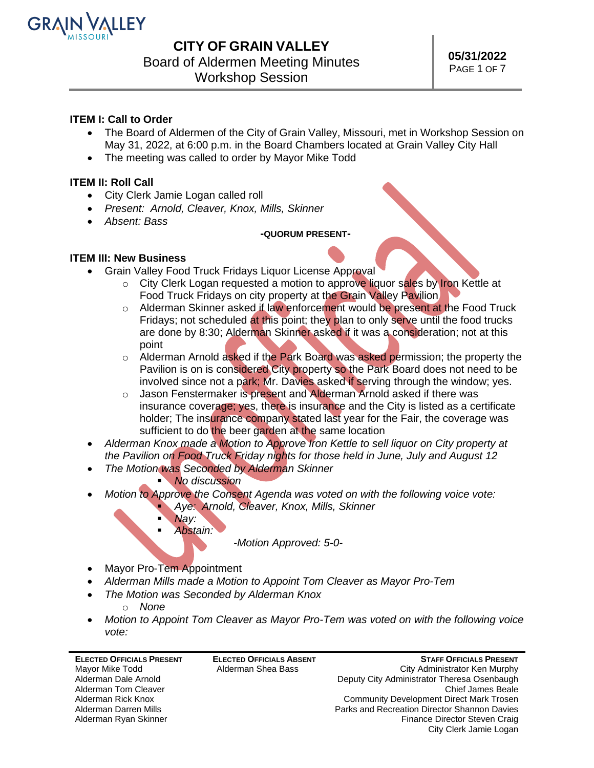

## **CITY OF GRAIN VALLEY**

Board of Aldermen Meeting Minutes

Workshop Session

## **ITEM I: Call to Order**

- The Board of Aldermen of the City of Grain Valley, Missouri, met in Workshop Session on May 31, 2022, at 6:00 p.m. in the Board Chambers located at Grain Valley City Hall
- The meeting was called to order by Mayor Mike Todd

### **ITEM II: Roll Call**

- City Clerk Jamie Logan called roll
- *Present: Arnold, Cleaver, Knox, Mills, Skinner*
- *Absent: Bass*

#### **-QUORUM PRESENT-**

### **ITEM III: New Business**

- Grain Valley Food Truck Fridays Liquor License Approval
	- o City Clerk Logan requested a motion to approve liquor sales by Iron Kettle at Food Truck Fridays on city property at the Grain Valley Pavilion
	- o Alderman Skinner asked if law enforcement would be present at the Food Truck Fridays; not scheduled at this point; they plan to only serve until the food trucks are done by 8:30; Alderman Skinner asked if it was a consideration; not at this point
	- o Alderman Arnold asked if the Park Board was asked permission; the property the Pavilion is on is considered City property so the Park Board does not need to be involved since not a park; Mr. Davies asked if serving through the window; yes.
	- o Jason Fenstermaker is present and Alderman Arnold asked if there was insurance coverage; yes, there is insurance and the City is listed as a certificate holder; The insurance company stated last year for the Fair, the coverage was sufficient to do the beer garden at the same location
- *Alderman Knox made a Motion to Approve Iron Kettle to sell liquor on City property at the Pavilion on Food Truck Friday nights for those held in June, July and August 12*
- *The Motion was Seconded by Alderman Skinner*

### **No discussion**

- *Motion to Approve the Consent Agenda was voted on with the following voice vote:* Aye: Arnold, Cleaver, Knox, Mills, Skinner
	- Nay:
	- *Abstain:*

*-Motion Approved: 5-0-*

- Mayor Pro-Tem Appointment
- *Alderman Mills made a Motion to Appoint Tom Cleaver as Mayor Pro-Tem*
- *The Motion was Seconded by Alderman Knox*
	- o *None*
- *Motion to Appoint Tom Cleaver as Mayor Pro-Tem was voted on with the following voice vote:*

**ELECTED OFFICIALS PRESENT** Mayor Mike Todd Alderman Dale Arnold Alderman Tom Cleaver Alderman Rick Knox Alderman Darren Mills Alderman Ryan Skinner

**ELECTED OFFICIALS ABSENT** Alderman Shea Bass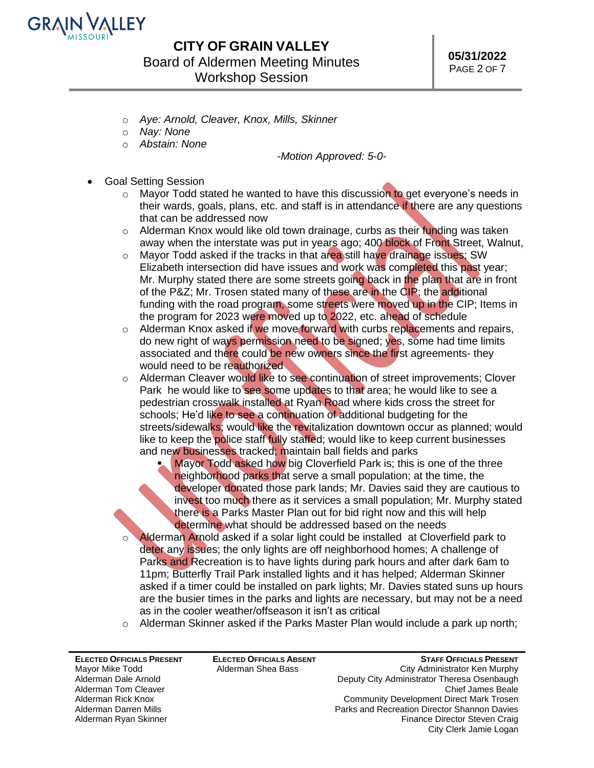

# **CITY OF GRAIN VALLEY** Board of Aldermen Meeting Minutes Workshop Session

- o *Aye: Arnold, Cleaver, Knox, Mills, Skinner*
- o *Nay: None*
- o *Abstain: None*

*-Motion Approved: 5-0-*

- Goal Setting Session
	- $\circ$  Mayor Todd stated he wanted to have this discussion to get everyone's needs in their wards, goals, plans, etc. and staff is in attendance if there are any questions that can be addressed now
	- $\circ$  Alderman Knox would like old town drainage, curbs as their funding was taken away when the interstate was put in years ago; 400 block of Front Street, Walnut,
	- $\circ$  Mayor Todd asked if the tracks in that area still have drainage issues; SW Elizabeth intersection did have issues and work was completed this past year; Mr. Murphy stated there are some streets going back in the plan that are in front of the P&Z; Mr. Trosen stated many of these are in the CIP; the additional funding with the road program, some streets were moved up in the CIP; Items in the program for 2023 were moved up to 2022, etc. ahead of schedule
	- $\circ$  Alderman Knox asked if we move forward with curbs replacements and repairs, do new right of ways permission need to be signed; yes, some had time limits associated and there could be new owners since the first agreements- they would need to be reauthorized.
	- $\circ$  Alderman Cleaver would like to see continuation of street improvements; Clover Park he would like to see some updates to that area; he would like to see a pedestrian crosswalk installed at Ryan Road where kids cross the street for schools; He'd like to see a continuation of additional budgeting for the streets/sidewalks; would like the revitalization downtown occur as planned; would like to keep the police staff fully staffed; would like to keep current businesses and new businesses tracked; maintain ball fields and parks
		- Mayor Todd asked how big Cloverfield Park is; this is one of the three neighborhood parks that serve a small population; at the time, the developer donated those park lands; Mr. Davies said they are cautious to invest too much there as it services a small population; Mr. Murphy stated there is a Parks Master Plan out for bid right now and this will help determine what should be addressed based on the needs
	- o Alderman Arnold asked if a solar light could be installed at Cloverfield park to deter any issues; the only lights are off neighborhood homes; A challenge of Parks and Recreation is to have lights during park hours and after dark 6am to 11pm; Butterfly Trail Park installed lights and it has helped; Alderman Skinner asked if a timer could be installed on park lights; Mr. Davies stated suns up hours are the busier times in the parks and lights are necessary, but may not be a need as in the cooler weather/offseason it isn't as critical
	- $\circ$  Alderman Skinner asked if the Parks Master Plan would include a park up north;

**ELECTED OFFICIALS PRESENT** Mayor Mike Todd Alderman Dale Arnold Alderman Tom Cleaver Alderman Rick Knox Alderman Darren Mills Alderman Ryan Skinner

**ELECTED OFFICIALS ABSENT** Alderman Shea Bass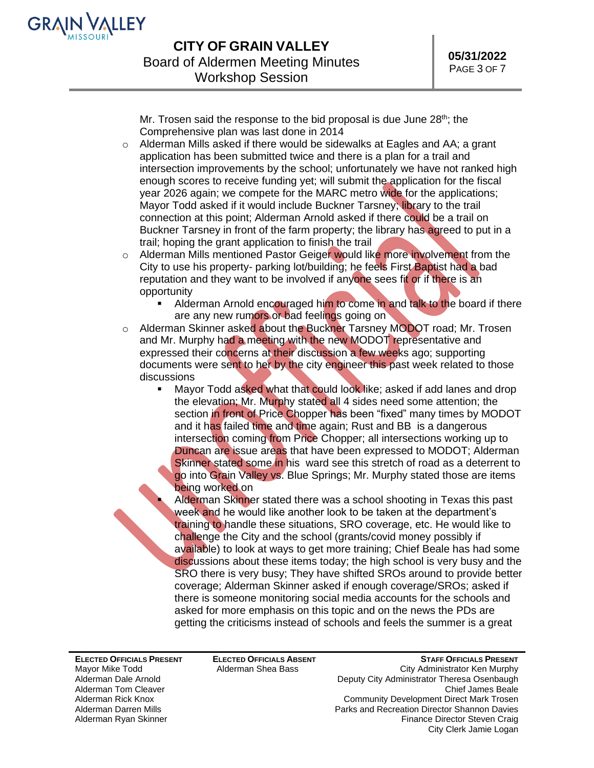

Mr. Trosen said the response to the bid proposal is due June 28<sup>th</sup>; the Comprehensive plan was last done in 2014

- $\circ$  Alderman Mills asked if there would be sidewalks at Eagles and AA; a grant application has been submitted twice and there is a plan for a trail and intersection improvements by the school; unfortunately we have not ranked high enough scores to receive funding yet; will submit the application for the fiscal year 2026 again; we compete for the MARC metro wide for the applications; Mayor Todd asked if it would include Buckner Tarsney; library to the trail connection at this point; Alderman Arnold asked if there could be a trail on Buckner Tarsney in front of the farm property; the library has agreed to put in a trail; hoping the grant application to finish the trail
- $\circ$  Alderman Mills mentioned Pastor Geiger would like more involvement from the City to use his property- parking lot/building; he feels First Baptist had a bad reputation and they want to be involved if anyone sees fit or if there is an opportunity
	- Alderman Arnold encouraged him to come in and talk to the board if there are any new rumors or bad feelings going on
- o Alderman Skinner asked about the Buckner Tarsney MODOT road; Mr. Trosen and Mr. Murphy had a meeting with the new MODOT representative and expressed their concerns at their discussion a few weeks ago; supporting documents were sent to her by the city engineer this past week related to those discussions
	- Mayor Todd asked what that could look like; asked if add lanes and drop the elevation; Mr. Murphy stated all 4 sides need some attention; the section in front of Price Chopper has been "fixed" many times by MODOT and it has failed time and time again; Rust and BB is a dangerous intersection coming from Price Chopper; all intersections working up to Duncan are issue areas that have been expressed to MODOT; Alderman Skinner stated some in his ward see this stretch of road as a deterrent to go into Grain Valley vs. Blue Springs; Mr. Murphy stated those are items being worked on

Alderman Skinner stated there was a school shooting in Texas this past week and he would like another look to be taken at the department's training to handle these situations, SRO coverage, etc. He would like to challenge the City and the school (grants/covid money possibly if available) to look at ways to get more training; Chief Beale has had some discussions about these items today; the high school is very busy and the SRO there is very busy; They have shifted SROs around to provide better coverage; Alderman Skinner asked if enough coverage/SROs; asked if there is someone monitoring social media accounts for the schools and asked for more emphasis on this topic and on the news the PDs are getting the criticisms instead of schools and feels the summer is a great

**ELECTED OFFICIALS PRESENT** Mayor Mike Todd Alderman Dale Arnold Alderman Tom Cleaver Alderman Rick Knox Alderman Darren Mills Alderman Ryan Skinner

**ELECTED OFFICIALS ABSENT** Alderman Shea Bass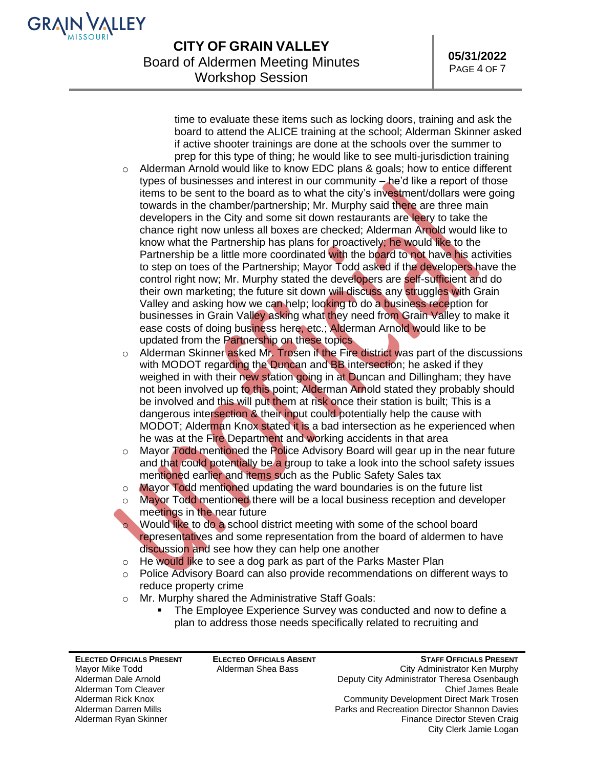

time to evaluate these items such as locking doors, training and ask the board to attend the ALICE training at the school; Alderman Skinner asked if active shooter trainings are done at the schools over the summer to prep for this type of thing; he would like to see multi-jurisdiction training

- $\circ$  Alderman Arnold would like to know EDC plans & goals; how to entice different types of businesses and interest in our community – he'd like a report of those items to be sent to the board as to what the city's investment/dollars were going towards in the chamber/partnership; Mr. Murphy said there are three main developers in the City and some sit down restaurants are leery to take the chance right now unless all boxes are checked; Alderman Arnold would like to know what the Partnership has plans for proactively; he would like to the Partnership be a little more coordinated with the board to not have his activities to step on toes of the Partnership; Mayor Todd asked if the developers have the control right now; Mr. Murphy stated the developers are self-sufficient and do their own marketing; the future sit down will discuss any struggles with Grain Valley and asking how we can help; looking to do a business reception for businesses in Grain Valley asking what they need from Grain Valley to make it ease costs of doing business here, etc.; Alderman Arnold would like to be updated from the Partnership on these topics
- o Alderman Skinner asked Mr. Trosen if the Fire district was part of the discussions with MODOT regarding the Duncan and BB intersection; he asked if they weighed in with their new station going in at Duncan and Dillingham; they have not been involved up to this point; Alderman Arnold stated they probably should be involved and this will put them at risk once their station is built; This is a dangerous intersection & their input could potentially help the cause with MODOT; Alderman Knox stated it is a bad intersection as he experienced when he was at the Fire Department and working accidents in that area
- o Mayor Todd mentioned the Police Advisory Board will gear up in the near future and that could potentially be a group to take a look into the school safety issues mentioned earlier and items such as the Public Safety Sales tax
- o Mayor Todd mentioned updating the ward boundaries is on the future list
- $\circ$  Mayor Todd mentioned there will be a local business reception and developer meetings in the near future

o Would like to do a school district meeting with some of the school board representatives and some representation from the board of aldermen to have discussion and see how they can help one another

- $\circ$  He would like to see a dog park as part of the Parks Master Plan
- $\circ$  Police Advisory Board can also provide recommendations on different ways to reduce property crime
- o Mr. Murphy shared the Administrative Staff Goals:
	- **The Employee Experience Survey was conducted and now to define a** plan to address those needs specifically related to recruiting and

**ELECTED OFFICIALS PRESENT** Mayor Mike Todd Alderman Dale Arnold Alderman Tom Cleaver Alderman Rick Knox Alderman Darren Mills Alderman Ryan Skinner

**ELECTED OFFICIALS ABSENT** Alderman Shea Bass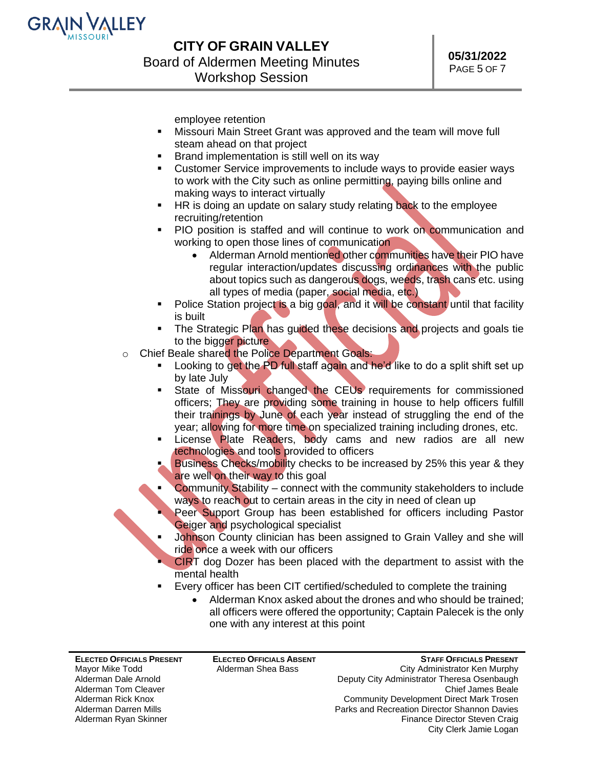

employee retention

- Missouri Main Street Grant was approved and the team will move full steam ahead on that project
- Brand implementation is still well on its way
- Customer Service improvements to include ways to provide easier ways to work with the City such as online permitting, paying bills online and making ways to interact virtually
- HR is doing an update on salary study relating back to the employee recruiting/retention
- PIO position is staffed and will continue to work on communication and working to open those lines of communication
	- Alderman Arnold mentioned other communities have their PIO have regular interaction/updates discussing ordinances with the public about topics such as dangerous dogs, weeds, trash cans etc. using all types of media (paper, social media, etc.)
- Police Station project is a big goal, and it will be constant until that facility is built
- **.** The Strategic Plan has guided these decisions and projects and goals tie to the bigger picture
- o Chief Beale shared the Police Department Goals:
	- Looking to get the PD full staff again and he'd like to do a split shift set up by late July
	- State of Missouri changed the CEUs requirements for commissioned officers; They are providing some training in house to help officers fulfill their trainings by June of each year instead of struggling the end of the year; allowing for more time on specialized training including drones, etc.
	- License Plate Readers, body cams and new radios are all new technologies and tools provided to officers
	- Business Checks/mobility checks to be increased by 25% this year & they are well on their way to this goal
	- **Community Stability connect with the community stakeholders to include** ways to reach out to certain areas in the city in need of clean up
	- Peer Support Group has been established for officers including Pastor Geiger and psychological specialist
	- Johnson County clinician has been assigned to Grain Valley and she will ride once a week with our officers
	- **CIRT** dog Dozer has been placed with the department to assist with the mental health
	- Every officer has been CIT certified/scheduled to complete the training
		- Alderman Knox asked about the drones and who should be trained; all officers were offered the opportunity; Captain Palecek is the only one with any interest at this point

**ELECTED OFFICIALS PRESENT** Mayor Mike Todd Alderman Dale Arnold Alderman Tom Cleaver Alderman Rick Knox Alderman Darren Mills Alderman Ryan Skinner

**ELECTED OFFICIALS ABSENT** Alderman Shea Bass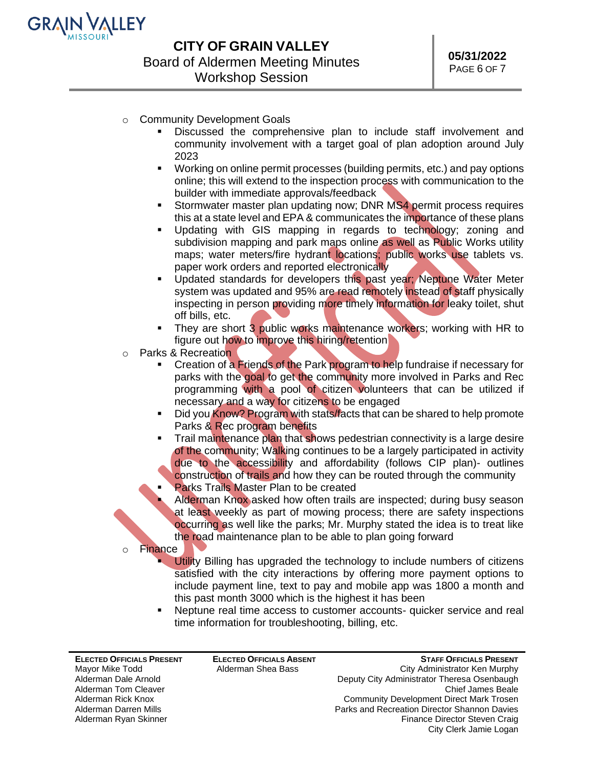

- o Community Development Goals
	- Discussed the comprehensive plan to include staff involvement and community involvement with a target goal of plan adoption around July 2023
	- Working on online permit processes (building permits, etc.) and pay options online; this will extend to the inspection process with communication to the builder with immediate approvals/feedback
	- **EXECT** Stormwater master plan updating now; DNR MS4 permit process requires this at a state level and EPA & communicates the importance of these plans
	- Updating with GIS mapping in regards to technology; zoning and subdivision mapping and park maps online as well as Public Works utility maps; water meters/fire hydrant locations; public works use tablets vs. paper work orders and reported electronically
	- Updated standards for developers this past year; Neptune Water Meter system was updated and 95% are read remotely instead of staff physically inspecting in person providing more timely information for leaky toilet, shut off bills, etc.
	- They are short 3 public works maintenance workers; working with HR to figure out how to improve this hiring/retention
- o Parks & Recreation
	- Creation of a Friends of the Park program to help fundraise if necessary for parks with the goal to get the community more involved in Parks and Rec programming with a pool of citizen volunteers that can be utilized if necessary and a way for citizens to be engaged
	- Did you Know? Program with stats/facts that can be shared to help promote Parks & Rec program benefits
	- Trail maintenance plan that shows pedestrian connectivity is a large desire of the community; Walking continues to be a largely participated in activity due to the accessibility and affordability (follows CIP plan)- outlines construction of trails and how they can be routed through the community
	- Parks Trails Master Plan to be created
		- Alderman Knox asked how often trails are inspected; during busy season at least weekly as part of mowing process; there are safety inspections occurring as well like the parks; Mr. Murphy stated the idea is to treat like the road maintenance plan to be able to plan going forward
- o Finance
	- **Utility Billing has upgraded the technology to include numbers of citizens** satisfied with the city interactions by offering more payment options to include payment line, text to pay and mobile app was 1800 a month and this past month 3000 which is the highest it has been
	- Neptune real time access to customer accounts- quicker service and real time information for troubleshooting, billing, etc.

**ELECTED OFFICIALS PRESENT** Mayor Mike Todd Alderman Dale Arnold Alderman Tom Cleaver Alderman Rick Knox Alderman Darren Mills Alderman Ryan Skinner

**ELECTED OFFICIALS ABSENT** Alderman Shea Bass